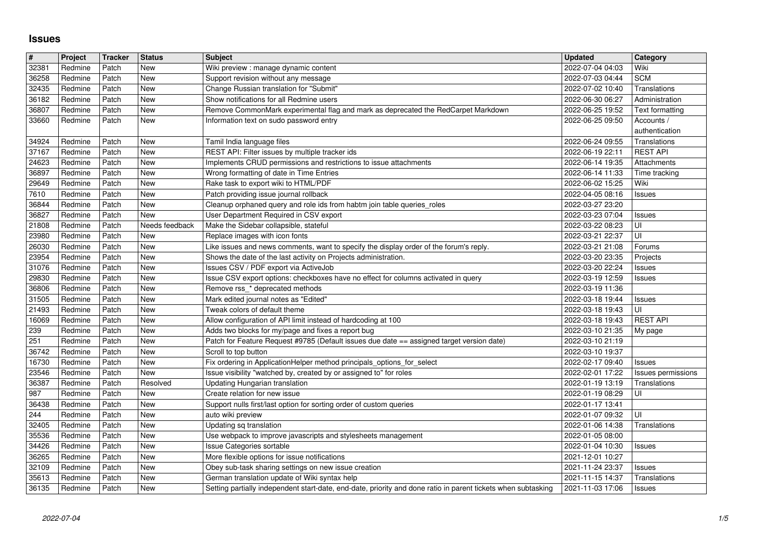## **Issues**

| $\overline{\mathbf{H}}$ | Project            | <b>Tracker</b> | <b>Status</b>  | <b>Subject</b>                                                                                                                                                 | <b>Updated</b>                                | Category                            |
|-------------------------|--------------------|----------------|----------------|----------------------------------------------------------------------------------------------------------------------------------------------------------------|-----------------------------------------------|-------------------------------------|
| 32381<br>36258          | Redmine<br>Redmine | Patch<br>Patch | New<br>New     | Wiki preview : manage dynamic content<br>Support revision without any message                                                                                  | 2022-07-04 04:03<br>2022-07-03 04:44          | Wiki<br><b>SCM</b>                  |
| 32435                   | Redmine            | Patch          | New            | Change Russian translation for "Submit"                                                                                                                        | 2022-07-02 10:40                              | Translations                        |
| 36182                   | Redmine            | Patch          | New            | Show notifications for all Redmine users                                                                                                                       | 2022-06-30 06:27                              | Administration                      |
| 36807<br>33660          | Redmine<br>Redmine | Patch<br>Patch | New<br>New     | Remove CommonMark experimental flag and mark as deprecated the RedCarpet Markdown<br>Information text on sudo password entry                                   | 2022-06-25 19:52<br>2022-06-25 09:50          | Text formatting<br>Accounts /       |
|                         |                    |                |                |                                                                                                                                                                |                                               | authentication                      |
| 34924                   | Redmine            | Patch          | New            | Tamil India language files                                                                                                                                     | 2022-06-24 09:55                              | Translations                        |
| 37167<br>24623          | Redmine<br>Redmine | Patch<br>Patch | New<br>New     | REST API: Filter issues by multiple tracker ids<br>Implements CRUD permissions and restrictions to issue attachments                                           | 2022-06-19 22:11<br>2022-06-14 19:35          | <b>REST API</b><br>Attachments      |
| 36897                   | Redmine            | Patch          | New            | Wrong formatting of date in Time Entries                                                                                                                       | 2022-06-14 11:33                              | Time tracking                       |
| 29649                   | Redmine            | Patch          | New            | Rake task to export wiki to HTML/PDF                                                                                                                           | 2022-06-02 15:25                              | Wiki                                |
| 7610<br>36844           | Redmine<br>Redmine | Patch<br>Patch | New<br>New     | Patch providing issue journal rollback<br>Cleanup orphaned query and role ids from habtm join table queries_roles                                              | 2022-04-05 08:16<br>2022-03-27 23:20          | Issues                              |
| 36827                   | Redmine            | Patch          | New            | User Department Required in CSV export                                                                                                                         | 2022-03-23 07:04                              | <b>Issues</b>                       |
| 21808                   | Redmine            | Patch          | Needs feedback | Make the Sidebar collapsible, stateful                                                                                                                         | 2022-03-22 08:23                              | UI                                  |
| 23980<br>26030          | Redmine<br>Redmine | Patch<br>Patch | New<br>New     | Replace images with icon fonts<br>Like issues and news comments, want to specify the display order of the forum's reply.                                       | 2022-03-21 22:37<br>2022-03-21 21:08          | UI<br>Forums                        |
| 23954                   | Redmine            | Patch          | New            | Shows the date of the last activity on Projects administration.                                                                                                | 2022-03-20 23:35                              | Projects                            |
| 31076                   | Redmine            | Patch          | New            | Issues CSV / PDF export via ActiveJob                                                                                                                          | 2022-03-20 22:24                              | Issues                              |
| 29830<br>36806          | Redmine<br>Redmine | Patch<br>Patch | New<br>New     | Issue CSV export options: checkboxes have no effect for columns activated in query<br>Remove rss_* deprecated methods                                          | 2022-03-19 12:59<br>2022-03-19 11:36          | <b>Issues</b>                       |
| 31505                   | Redmine            | Patch          | New            | Mark edited journal notes as "Edited"                                                                                                                          | 2022-03-18 19:44                              | <b>Issues</b>                       |
| 21493                   | Redmine            | Patch          | New            | Tweak colors of default theme                                                                                                                                  | 2022-03-18 19:43                              | UI                                  |
| 16069<br>239            | Redmine<br>Redmine | Patch<br>Patch | New<br>New     | Allow configuration of API limit instead of hardcoding at 100<br>Adds two blocks for my/page and fixes a report bug                                            | 2022-03-18 19:43<br>2022-03-10 21:35          | <b>REST API</b>                     |
| 251                     | Redmine            | Patch          | New            | Patch for Feature Request #9785 (Default issues due date == assigned target version date)                                                                      | 2022-03-10 21:19                              | My page                             |
| 36742                   | Redmine            | Patch          | New            | Scroll to top button                                                                                                                                           | 2022-03-10 19:37                              |                                     |
| 16730<br>23546          | Redmine<br>Redmine | Patch<br>Patch | New<br>New     | Fix ordering in ApplicationHelper method principals_options_for_select<br>Issue visibility "watched by, created by or assigned to" for roles                   | 2022-02-17 09:40<br>2022-02-01 17:22          | <b>Issues</b><br>Issues permissions |
| 36387                   | Redmine            | Patch          | Resolved       | Updating Hungarian translation                                                                                                                                 | 2022-01-19 13:19                              | Translations                        |
| 987                     | Redmine            | Patch          | New            | Create relation for new issue                                                                                                                                  | 2022-01-19 08:29                              | UI                                  |
| 36438<br>244            | Redmine            | Patch<br>Patch | New<br>New     | Support nulls first/last option for sorting order of custom queries                                                                                            | 2022-01-17 13:41                              | UI                                  |
| 32405                   | Redmine<br>Redmine | Patch          | New            | auto wiki preview<br>Updating sq translation                                                                                                                   | 2022-01-07 09:32<br>2022-01-06 14:38          | Translations                        |
| 35536                   | Redmine            | Patch          | New            | Use webpack to improve javascripts and stylesheets management                                                                                                  | 2022-01-05 08:00                              |                                     |
| 34426                   | Redmine            | Patch          | New            | Issue Categories sortable                                                                                                                                      | 2022-01-04 10:30                              | <b>Issues</b>                       |
| 36265<br>32109          | Redmine<br>Redmine | Patch<br>Patch | New<br>New     | More flexible options for issue notifications<br>Obey sub-task sharing settings on new issue creation                                                          | 2021-12-01 10:27<br>2021-11-24 23:37   Issues |                                     |
| 35613                   | Redmine            | Patch          | <b>New</b>     | German translation update of Wiki syntax help<br>Setting partially independent start-date, end-date, priority and done ratio in parent tickets when subtasking | 2021-11-15 14:37                              | Translations                        |
|                         |                    |                |                |                                                                                                                                                                |                                               |                                     |
|                         |                    |                |                |                                                                                                                                                                |                                               |                                     |
|                         |                    |                |                |                                                                                                                                                                |                                               |                                     |
|                         |                    |                |                |                                                                                                                                                                |                                               |                                     |
|                         |                    |                |                |                                                                                                                                                                |                                               |                                     |
|                         |                    |                |                |                                                                                                                                                                |                                               |                                     |
|                         |                    |                |                |                                                                                                                                                                |                                               |                                     |
|                         |                    |                |                |                                                                                                                                                                |                                               |                                     |
|                         |                    |                |                |                                                                                                                                                                |                                               |                                     |
|                         |                    |                |                |                                                                                                                                                                |                                               |                                     |
|                         |                    |                |                |                                                                                                                                                                |                                               |                                     |
|                         |                    |                |                |                                                                                                                                                                |                                               |                                     |
|                         |                    |                |                |                                                                                                                                                                |                                               |                                     |
|                         |                    |                |                |                                                                                                                                                                |                                               |                                     |
|                         |                    |                |                |                                                                                                                                                                |                                               |                                     |
|                         |                    |                |                |                                                                                                                                                                |                                               |                                     |
|                         |                    |                |                |                                                                                                                                                                |                                               |                                     |
|                         |                    |                |                |                                                                                                                                                                |                                               |                                     |
|                         |                    |                |                |                                                                                                                                                                |                                               |                                     |
|                         |                    |                |                |                                                                                                                                                                |                                               |                                     |
|                         |                    |                |                |                                                                                                                                                                |                                               |                                     |
|                         |                    |                |                |                                                                                                                                                                |                                               |                                     |
|                         |                    |                |                |                                                                                                                                                                |                                               |                                     |
|                         |                    |                |                |                                                                                                                                                                |                                               |                                     |
|                         |                    |                |                |                                                                                                                                                                |                                               |                                     |
|                         |                    |                |                |                                                                                                                                                                |                                               |                                     |
|                         |                    |                |                |                                                                                                                                                                |                                               |                                     |
|                         |                    |                |                |                                                                                                                                                                |                                               |                                     |
|                         |                    |                |                |                                                                                                                                                                |                                               |                                     |
|                         |                    |                |                |                                                                                                                                                                |                                               |                                     |
|                         |                    |                |                |                                                                                                                                                                |                                               |                                     |
|                         |                    |                |                |                                                                                                                                                                |                                               |                                     |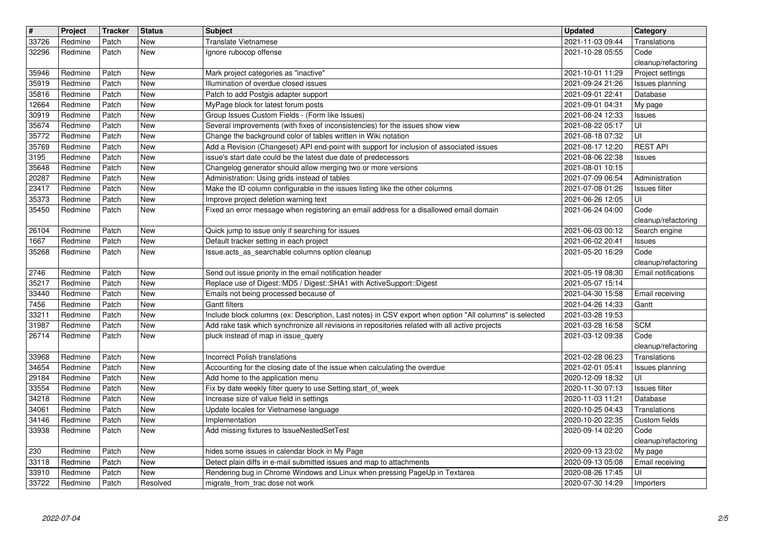| $\vert$ #      | Project<br>Redmine | <b>Tracker</b> | <b>Status</b><br><b>New</b> | <b>Subject</b>                                                                                                                                             | <b>Updated</b>                       | Category<br>Translations                   |
|----------------|--------------------|----------------|-----------------------------|------------------------------------------------------------------------------------------------------------------------------------------------------------|--------------------------------------|--------------------------------------------|
| 33726<br>32296 | Redmine            | Patch<br>Patch | New                         | Translate Vietnamese<br>Ignore rubocop offense                                                                                                             | 2021-11-03 09:44<br>2021-10-28 05:55 | Code                                       |
| 35946          | Redmine            | Patch          | New                         | Mark project categories as "inactive"                                                                                                                      | 2021-10-01 11:29                     | cleanup/refactoring<br>Project settings    |
| 35919          | Redmine            | Patch          | New                         | Illumination of overdue closed issues                                                                                                                      | 2021-09-24 21:26                     | Issues planning                            |
| 35816          | Redmine            | Patch          | New                         | Patch to add Postgis adapter support                                                                                                                       | 2021-09-01 22:41                     | Database                                   |
| 12664<br>30919 | Redmine<br>Redmine | Patch<br>Patch | New<br>New                  | MyPage block for latest forum posts<br>Group Issues Custom Fields - (Form like Issues)                                                                     | 2021-09-01 04:31<br>2021-08-24 12:33 | My page<br>Issues                          |
| 35674          | Redmine            | Patch          | <b>New</b>                  | Several improvements (with fixes of inconsistencies) for the issues show view                                                                              | 2021-08-22 05:17                     | UI                                         |
| 35772<br>35769 | Redmine<br>Redmine | Patch<br>Patch | New<br>New                  | Change the background color of tables written in Wiki notation<br>Add a Revision (Changeset) API end-point with support for inclusion of associated issues | 2021-08-18 07:32<br>2021-08-17 12:20 | UI<br><b>REST API</b>                      |
| 3195           | Redmine            | Patch          | New                         | issue's start date could be the latest due date of predecessors                                                                                            | 2021-08-06 22:38                     | <b>Issues</b>                              |
| 35648<br>20287 | Redmine<br>Redmine | Patch<br>Patch | New<br>New                  | Changelog generator should allow merging two or more versions<br>Administration: Using grids instead of tables                                             | 2021-08-01 10:15<br>2021-07-09 06:54 | Administration                             |
| 23417          | Redmine            | Patch          | New                         | Make the ID column configurable in the issues listing like the other columns                                                                               | 2021-07-08 01:26                     | <b>Issues filter</b>                       |
| 35373<br>35450 | Redmine<br>Redmine | Patch<br>Patch | New<br>New                  | Improve project deletion warning text<br>Fixed an error message when registering an email address for a disallowed email domain                            | 2021-06-26 12:05<br>2021-06-24 04:00 | UI<br>Code                                 |
|                |                    |                |                             |                                                                                                                                                            |                                      | cleanup/refactoring                        |
| 26104<br>1667  | Redmine<br>Redmine | Patch<br>Patch | New<br>New                  | Quick jump to issue only if searching for issues<br>Default tracker setting in each project                                                                | 2021-06-03 00:12<br>2021-06-02 20:41 | Search engine<br>Issues                    |
| 35268          | Redmine            | Patch          | <b>New</b>                  | Issue.acts_as_searchable columns option cleanup                                                                                                            | 2021-05-20 16:29                     | Code                                       |
| 2746           | Redmine            | Patch          | New                         | Send out issue priority in the email notification header                                                                                                   | 2021-05-19 08:30                     | cleanup/refactoring<br>Email notifications |
| 35217          | Redmine<br>Redmine | Patch<br>Patch | New<br>New                  | Replace use of Digest::MD5 / Digest::SHA1 with ActiveSupport::Digest                                                                                       | 2021-05-07 15:14<br>2021-04-30 15:58 |                                            |
| 33440<br>7456  | Redmine            | Patch          | New                         | Emails not being processed because of<br><b>Gantt filters</b>                                                                                              | 2021-04-26 14:33                     | Email receiving<br>Gantt                   |
| 33211          | Redmine            | Patch          | New                         | Include block columns (ex: Description, Last notes) in CSV export when option "All columns" is selected                                                    | 2021-03-28 19:53                     |                                            |
| 31987<br>26714 | Redmine<br>Redmine | Patch<br>Patch | <b>New</b><br><b>New</b>    | Add rake task which synchronize all revisions in repositories related with all active projects<br>pluck instead of map in issue_query                      | 2021-03-28 16:58<br>2021-03-12 09:38 | <b>SCM</b><br>Code                         |
|                |                    |                |                             |                                                                                                                                                            |                                      | cleanup/refactoring                        |
| 33968<br>34654 | Redmine<br>Redmine | Patch<br>Patch | New<br>New                  | Incorrect Polish translations<br>Accounting for the closing date of the issue when calculating the overdue                                                 | 2021-02-28 06:23<br>2021-02-01 05:41 | Translations<br>Issues planning            |
| 29184          | Redmine            | Patch          | New                         | Add home to the application menu                                                                                                                           | 2020-12-09 18:32                     | UI                                         |
| 33554<br>34218 | Redmine<br>Redmine | Patch<br>Patch | New<br><b>New</b>           | Fix by date weekly filter query to use Setting.start_of_week<br>Increase size of value field in settings                                                   | 2020-11-30 07:13<br>2020-11-03 11:21 | <b>Issues</b> filter<br>Database           |
| 34061          | Redmine            | Patch          | <b>New</b>                  | Update locales for Vietnamese language                                                                                                                     | 2020-10-25 04:43                     | Translations                               |
| 34146<br>33938 | Redmine<br>Redmine | Patch<br>Patch | <b>New</b><br><b>New</b>    | Implementation<br>Add missing fixtures to IssueNestedSetTest                                                                                               | 2020-10-20 22:35<br>2020-09-14 02:20 | Custom fields<br>Code                      |
|                |                    |                |                             |                                                                                                                                                            |                                      | cleanup/refactoring                        |
| 230<br>33118   | Redmine<br>Redmine | Patch<br>Patch | New<br>New                  | hides some issues in calendar block in My Page<br>Detect plain diffs in e-mail submitted issues and map to attachments                                     | 2020-09-13 23:02<br>2020-09-13 05:08 | My page<br>Email receiving                 |
| 33910<br>33722 | Redmine<br>Redmine | Patch<br>Patch | New<br>Resolved             | Rendering bug in Chrome Windows and Linux when pressing PageUp in Textarea<br>migrate_from_trac dose not work                                              | 2020-08-26 17:45<br>2020-07-30 14:29 | UI<br>Importers                            |
|                | 2022-07-04         |                |                             |                                                                                                                                                            |                                      |                                            |
|                |                    |                |                             |                                                                                                                                                            |                                      |                                            |
|                |                    |                |                             |                                                                                                                                                            |                                      |                                            |
|                |                    |                |                             |                                                                                                                                                            |                                      |                                            |
|                |                    |                |                             |                                                                                                                                                            |                                      |                                            |
|                |                    |                |                             |                                                                                                                                                            |                                      |                                            |
|                |                    |                |                             |                                                                                                                                                            |                                      |                                            |
|                |                    |                |                             |                                                                                                                                                            |                                      |                                            |
|                |                    |                |                             |                                                                                                                                                            |                                      |                                            |
|                |                    |                |                             |                                                                                                                                                            |                                      |                                            |
|                |                    |                |                             |                                                                                                                                                            |                                      |                                            |
|                |                    |                |                             |                                                                                                                                                            |                                      |                                            |
|                |                    |                |                             |                                                                                                                                                            |                                      |                                            |
|                |                    |                |                             |                                                                                                                                                            |                                      |                                            |
|                |                    |                |                             |                                                                                                                                                            |                                      |                                            |
|                |                    |                |                             |                                                                                                                                                            |                                      |                                            |
|                |                    |                |                             |                                                                                                                                                            |                                      |                                            |
|                |                    |                |                             |                                                                                                                                                            |                                      |                                            |
|                |                    |                |                             |                                                                                                                                                            |                                      |                                            |
|                |                    |                |                             |                                                                                                                                                            |                                      |                                            |
|                |                    |                |                             |                                                                                                                                                            |                                      |                                            |
|                |                    |                |                             |                                                                                                                                                            |                                      |                                            |
|                |                    |                |                             |                                                                                                                                                            |                                      |                                            |
|                |                    |                |                             |                                                                                                                                                            |                                      |                                            |
|                |                    |                |                             |                                                                                                                                                            |                                      |                                            |
|                |                    |                |                             |                                                                                                                                                            |                                      |                                            |
|                |                    |                |                             |                                                                                                                                                            |                                      |                                            |
|                |                    |                |                             |                                                                                                                                                            |                                      |                                            |
|                |                    |                |                             |                                                                                                                                                            |                                      |                                            |
|                |                    |                |                             |                                                                                                                                                            |                                      |                                            |
|                |                    |                |                             |                                                                                                                                                            |                                      |                                            |
|                |                    |                |                             |                                                                                                                                                            |                                      |                                            |
|                |                    |                |                             |                                                                                                                                                            |                                      |                                            |
|                |                    |                |                             |                                                                                                                                                            |                                      |                                            |
|                |                    |                |                             |                                                                                                                                                            |                                      |                                            |
|                |                    |                |                             |                                                                                                                                                            |                                      |                                            |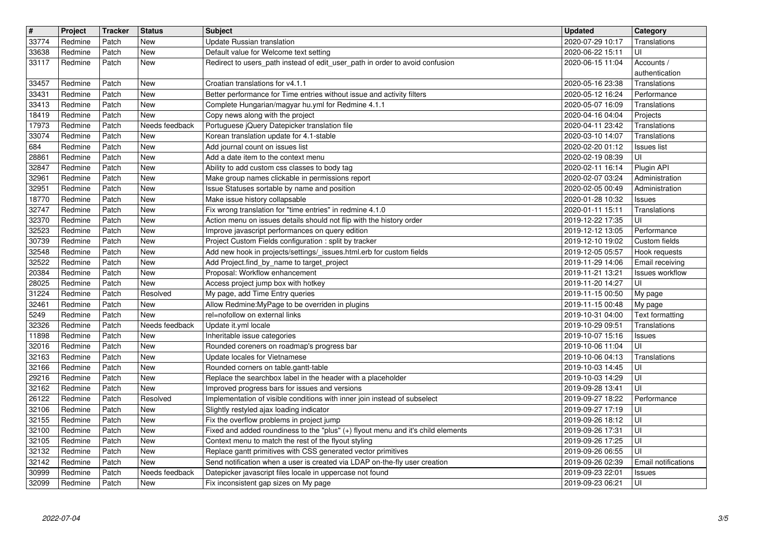| $\overline{\mathbf{H}}$<br>33774 | Project<br>Redmine | <b>Tracker</b><br>Patch | <b>Status</b><br>New  | <b>Subject</b><br>Update Russian translation                                                                                            | <b>Updated</b><br>2020-07-29 10:17   | Category<br>Translations         |
|----------------------------------|--------------------|-------------------------|-----------------------|-----------------------------------------------------------------------------------------------------------------------------------------|--------------------------------------|----------------------------------|
| 33638                            | Redmine            | Patch                   | New                   | Default value for Welcome text setting                                                                                                  | 2020-06-22 15:11                     | UI                               |
| 33117                            | Redmine            | Patch                   | <b>New</b>            | Redirect to users_path instead of edit_user_path in order to avoid confusion                                                            | 2020-06-15 11:04                     | Accounts /<br>authentication     |
| 33457<br>33431                   | Redmine<br>Redmine | Patch<br>Patch          | New<br>New            | Croatian translations for v4.1.1<br>Better performance for Time entries without issue and activity filters                              | 2020-05-16 23:38<br>2020-05-12 16:24 | Translations<br>Performance      |
| 33413                            | Redmine            | Patch                   | New                   | Complete Hungarian/magyar hu.yml for Redmine 4.1.1                                                                                      | 2020-05-07 16:09                     | Translations                     |
| 18419<br>17973                   | Redmine<br>Redmine | Patch<br>Patch          | New<br>Needs feedback | Copy news along with the project<br>Portuguese jQuery Datepicker translation file                                                       | 2020-04-16 04:04<br>2020-04-11 23:42 | Projects<br>Translations         |
| 33074                            | Redmine            | Patch                   | New                   | Korean translation update for 4.1-stable                                                                                                | 2020-03-10 14:07                     | Translations                     |
| 684<br>28861                     | Redmine<br>Redmine | Patch<br>Patch          | New<br>New            | Add journal count on issues list<br>Add a date item to the context menu                                                                 | 2020-02-20 01:12<br>2020-02-19 08:39 | <b>Issues list</b><br>UI         |
| 32847<br>32961                   | Redmine<br>Redmine | Patch<br>Patch          | New<br>New            | Ability to add custom css classes to body tag<br>Make group names clickable in permissions report                                       | 2020-02-11 16:14<br>2020-02-07 03:24 | Plugin API<br>Administration     |
| 32951                            | Redmine            | Patch                   | New                   | Issue Statuses sortable by name and position                                                                                            | 2020-02-05 00:49                     | Administration                   |
| 18770<br>32747                   | Redmine<br>Redmine | Patch<br>Patch          | New<br>New            | Make issue history collapsable<br>Fix wrong translation for "time entries" in redmine 4.1.0                                             | 2020-01-28 10:32<br>2020-01-11 15:11 | <b>Issues</b><br>Translations    |
| 32370<br>32523                   | Redmine<br>Redmine | Patch<br>Patch          | New<br>New            | Action menu on issues details should not flip with the history order<br>Improve javascript performances on query edition                | 2019-12-22 17:35<br>2019-12-12 13:05 | UI<br>Performance                |
| 30739                            | Redmine            | Patch                   | New                   | Project Custom Fields configuration : split by tracker                                                                                  | 2019-12-10 19:02                     | Custom fields                    |
| 32548<br>32522                   | Redmine<br>Redmine | Patch<br>Patch          | New<br>New            | Add new hook in projects/settings/_issues.html.erb for custom fields<br>Add Project.find_by_name to target_project                      | 2019-12-05 05:57<br>2019-11-29 14:06 | Hook requests<br>Email receiving |
| 20384<br>28025                   | Redmine<br>Redmine | Patch<br>Patch          | New<br>New            | Proposal: Workflow enhancement<br>Access project jump box with hotkey                                                                   | 2019-11-21 13:21<br>2019-11-20 14:27 | Issues workflow<br>UI            |
| 31224                            | Redmine            | Patch                   | Resolved              | My page, add Time Entry queries                                                                                                         | 2019-11-15 00:50                     | My page                          |
| 32461<br>5249                    | Redmine<br>Redmine | Patch<br>Patch          | New<br>New            | Allow Redmine: My Page to be overriden in plugins<br>rel=nofollow on external links                                                     | 2019-11-15 00:48<br>2019-10-31 04:00 | My page<br>Text formatting       |
| 32326                            | Redmine            | Patch                   | Needs feedback        | Update it.yml locale                                                                                                                    | 2019-10-29 09:51                     | Translations                     |
| 11898<br>32016                   | Redmine<br>Redmine | Patch<br>Patch          | New<br>New            | Inheritable issue categories<br>Rounded coreners on roadmap's progress bar                                                              | 2019-10-07 15:16<br>2019-10-06 11:04 | <b>Issues</b><br>UI              |
| 32163<br>32166                   | Redmine<br>Redmine | Patch<br>Patch          | New<br>New            | Update locales for Vietnamese<br>Rounded corners on table.gantt-table                                                                   | 2019-10-06 04:13<br>2019-10-03 14:45 | Translations<br>UI               |
| 29216                            | Redmine            | Patch                   | New                   | Replace the searchbox label in the header with a placeholder                                                                            | 2019-10-03 14:29                     | UI                               |
| 32162<br>26122                   | Redmine<br>Redmine | Patch<br>Patch          | New<br>Resolved       | Improved progress bars for issues and versions<br>Implementation of visible conditions with inner join instead of subselect             | 2019-09-28 13:41<br>2019-09-27 18:22 | UI<br>Performance                |
| 32106<br>32155                   | Redmine<br>Redmine | Patch<br>Patch          | New<br>New            | Slightly restyled ajax loading indicator<br>Fix the overflow problems in project jump                                                   | 2019-09-27 17:19<br>2019-09-26 18:12 | UI<br>UI                         |
| 32100                            | Redmine            | Patch                   | New                   | Fixed and added roundiness to the "plus" (+) flyout menu and it's child elements                                                        | 2019-09-26 17:31                     | UI                               |
| 32105<br>32132                   | Redmine<br>Redmine | Patch<br>Patch          | New<br>New            | Context menu to match the rest of the flyout styling<br>Replace gantt primitives with CSS generated vector primitives                   | 2019-09-26 17:25<br>2019-09-26 06:55 | UI                               |
| 32142<br>30999                   | Redmine<br>Redmine | Patch<br>Patch          | New<br>Needs feedback | Send notification when a user is created via LDAP on-the-fly user creation<br>Datepicker javascript files locale in uppercase not found | 2019-09-26 02:39<br>2019-09-23 22:01 | Email notifications              |
| 32099                            | Redmine            | Patch                   | New                   | Fix inconsistent gap sizes on My page                                                                                                   | 2019-09-23 06:21                     | Issues<br>UI                     |
|                                  |                    |                         |                       |                                                                                                                                         |                                      |                                  |
|                                  |                    |                         |                       |                                                                                                                                         |                                      |                                  |
|                                  |                    |                         |                       |                                                                                                                                         |                                      |                                  |
|                                  |                    |                         |                       |                                                                                                                                         |                                      |                                  |
|                                  |                    |                         |                       |                                                                                                                                         |                                      |                                  |
|                                  |                    |                         |                       |                                                                                                                                         |                                      |                                  |
|                                  |                    |                         |                       |                                                                                                                                         |                                      |                                  |
|                                  |                    |                         |                       |                                                                                                                                         |                                      |                                  |
|                                  |                    |                         |                       |                                                                                                                                         |                                      |                                  |
|                                  |                    |                         |                       |                                                                                                                                         |                                      |                                  |
|                                  |                    |                         |                       |                                                                                                                                         |                                      |                                  |
|                                  |                    |                         |                       |                                                                                                                                         |                                      |                                  |
|                                  |                    |                         |                       |                                                                                                                                         |                                      |                                  |
|                                  |                    |                         |                       |                                                                                                                                         |                                      |                                  |
|                                  |                    |                         |                       |                                                                                                                                         |                                      |                                  |
|                                  |                    |                         |                       |                                                                                                                                         |                                      |                                  |
|                                  |                    |                         |                       |                                                                                                                                         |                                      |                                  |
|                                  |                    |                         |                       |                                                                                                                                         |                                      |                                  |
|                                  |                    |                         |                       |                                                                                                                                         |                                      |                                  |
|                                  |                    |                         |                       |                                                                                                                                         |                                      |                                  |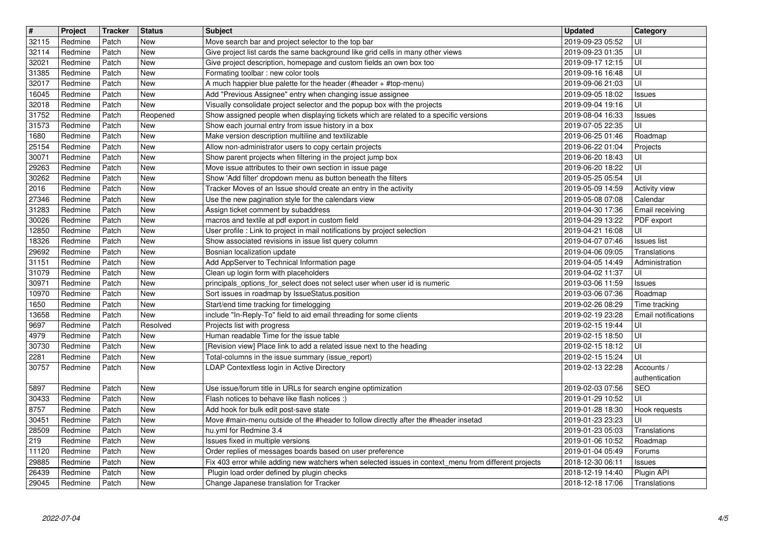| $\overline{\mathbf{H}}$ | Project            | <b>Tracker</b> | <b>Status</b>   | <b>Subject</b>                                                                                                                                     | <b>Updated</b>                       | Category                     |
|-------------------------|--------------------|----------------|-----------------|----------------------------------------------------------------------------------------------------------------------------------------------------|--------------------------------------|------------------------------|
| 32115<br>32114          | Redmine<br>Redmine | Patch<br>Patch | New<br>New      | Move search bar and project selector to the top bar<br>Give project list cards the same background like grid cells in many other views             | 2019-09-23 05:52<br>2019-09-23 01:35 | UI<br>UI                     |
| 32021                   | Redmine            | Patch          | New             | Give project description, homepage and custom fields an own box too                                                                                | 2019-09-17 12:15                     | UI                           |
| 31385                   | Redmine            | Patch          | New             | Formating toolbar : new color tools                                                                                                                | 2019-09-16 16:48                     | UI                           |
| 32017<br>16045          | Redmine<br>Redmine | Patch<br>Patch | New<br>New      | A much happier blue palette for the header (#header + #top-menu)<br>Add "Previous Assignee" entry when changing issue assignee                     | 2019-09-06 21:03<br>2019-09-05 18:02 | UI                           |
| 32018                   | Redmine            | Patch          | New             | Visually consolidate project selector and the popup box with the projects                                                                          | 2019-09-04 19:16                     | <b>Issues</b><br>UI          |
| 31752                   | Redmine            | Patch          | Reopened        | Show assigned people when displaying tickets which are related to a specific versions                                                              | 2019-08-04 16:33                     | <b>Issues</b>                |
| 31573                   | Redmine            | Patch          | New             | Show each journal entry from issue history in a box                                                                                                | 2019-07-05 22:35                     | UI                           |
| 1680<br>25154           | Redmine<br>Redmine | Patch<br>Patch | New<br>New      | Make version description multiline and textilizable<br>Allow non-administrator users to copy certain projects                                      | 2019-06-25 01:46<br>2019-06-22 01:04 | Roadmap<br>Projects          |
| 30071                   | Redmine            | Patch          | New             | Show parent projects when filtering in the project jump box                                                                                        | 2019-06-20 18:43                     | UI                           |
| 29263                   | Redmine            | Patch          | New             | Move issue attributes to their own section in issue page                                                                                           | 2019-06-20 18:22                     | UI                           |
| 30262<br>2016           | Redmine<br>Redmine | Patch<br>Patch | New<br>New      | Show 'Add filter' dropdown menu as button beneath the filters<br>Tracker Moves of an Issue should create an entry in the activity                  | 2019-05-25 05:54<br>2019-05-09 14:59 | UI<br>Activity view          |
| 27346                   | Redmine            | Patch          | New             | Use the new pagination style for the calendars view                                                                                                | 2019-05-08 07:08                     | Calendar                     |
| 31283                   | Redmine            | Patch          | New             | Assign ticket comment by subaddress                                                                                                                | 2019-04-30 17:36                     | Email receiving              |
| 30026<br>12850          | Redmine<br>Redmine | Patch<br>Patch | New<br>New      | macros and textile at pdf export in custom field<br>User profile : Link to project in mail notifications by project selection                      | 2019-04-29 13:22<br>2019-04-21 16:08 | PDF export<br>UI             |
| 18326                   | Redmine            | Patch          | New             | Show associated revisions in issue list query column                                                                                               | 2019-04-07 07:46                     | <b>Issues list</b>           |
| 29692                   | Redmine            | Patch          | New             | Bosnian localization update                                                                                                                        | 2019-04-06 09:05                     | Translations                 |
| 31151<br>31079          | Redmine            | Patch<br>Patch | New<br>New      | Add AppServer to Technical Information page<br>Clean up login form with placeholders                                                               | 2019-04-05 14:49                     | Administration<br>UI         |
| 30971                   | Redmine<br>Redmine | Patch          | New             | principals_options_for_select does not select user when user id is numeric                                                                         | 2019-04-02 11:37<br>2019-03-06 11:59 | <b>Issues</b>                |
| 10970                   | Redmine            | Patch          | New             | Sort issues in roadmap by IssueStatus.position                                                                                                     | 2019-03-06 07:36                     | Roadmap                      |
| 1650                    | Redmine            | Patch          | New             | Start/end time tracking for timelogging                                                                                                            | 2019-02-26 08:29                     | Time tracking                |
| 13658<br>9697           | Redmine<br>Redmine | Patch<br>Patch | New<br>Resolved | include "In-Reply-To" field to aid email threading for some clients<br>Projects list with progress                                                 | 2019-02-19 23:28<br>2019-02-15 19:44 | Email notifications<br>UI    |
| 4979                    | Redmine            | Patch          | New             | Human readable Time for the issue table                                                                                                            | 2019-02-15 18:50                     | UI                           |
| 30730                   | Redmine            | Patch          | New             | [Revision view] Place link to add a related issue next to the heading                                                                              | 2019-02-15 18:12                     | UI                           |
| 2281                    | Redmine            | Patch          | New             | Total-columns in the issue summary (issue_report)                                                                                                  | 2019-02-15 15:24                     | UI                           |
| 30757                   | Redmine            | Patch          | New             | LDAP Contextless login in Active Directory                                                                                                         | 2019-02-13 22:28                     | Accounts /<br>authentication |
| 5897                    | Redmine            | Patch          | New             | Use issue/forum title in URLs for search engine optimization                                                                                       | 2019-02-03 07:56                     | <b>SEO</b>                   |
| 30433                   | Redmine            | Patch          | New             | Flash notices to behave like flash notices :)                                                                                                      | 2019-01-29 10:52                     | UI                           |
| 8757                    | Redmine            | Patch          | New             | Add hook for bulk edit post-save state                                                                                                             | 2019-01-28 18:30                     | Hook requests                |
| 30451<br>28509          | Redmine<br>Redmine | Patch<br>Patch | New<br>New      | Move #main-menu outside of the #header to follow directly after the #header insetad<br>hu.yml for Redmine 3.4                                      | 2019-01-23 23:23<br>2019-01-23 05:03 | UI<br>Translations           |
| 219                     | Redmine            | Patch          | New             | Issues fixed in multiple versions                                                                                                                  | 2019-01-06 10:52                     | Roadmap                      |
| 11120                   | Redmine            | Patch          | New             | Order replies of messages boards based on user preference                                                                                          | 2019-01-04 05:49                     | Forums                       |
| 29885                   | Redmine            | Patch          | New             | Fix 403 error while adding new watchers when selected issues in context menu from different projects<br>Plugin load order defined by plugin checks | 2018-12-30 06:11                     | <b>Issues</b>                |
| 26439<br>29045          | Redmine<br>Redmine | Patch<br>Patch | New<br>New      | Change Japanese translation for Tracker                                                                                                            | 2018-12-19 14:40<br>2018-12-18 17:06 | Plugin API<br>Translations   |
|                         |                    |                |                 |                                                                                                                                                    |                                      |                              |
|                         |                    |                |                 |                                                                                                                                                    |                                      |                              |
|                         |                    |                |                 |                                                                                                                                                    |                                      |                              |
|                         |                    |                |                 |                                                                                                                                                    |                                      |                              |
|                         |                    |                |                 |                                                                                                                                                    |                                      |                              |
|                         |                    |                |                 |                                                                                                                                                    |                                      |                              |
|                         |                    |                |                 |                                                                                                                                                    |                                      |                              |
|                         |                    |                |                 |                                                                                                                                                    |                                      |                              |
|                         |                    |                |                 |                                                                                                                                                    |                                      |                              |
|                         |                    |                |                 |                                                                                                                                                    |                                      |                              |
|                         |                    |                |                 |                                                                                                                                                    |                                      |                              |